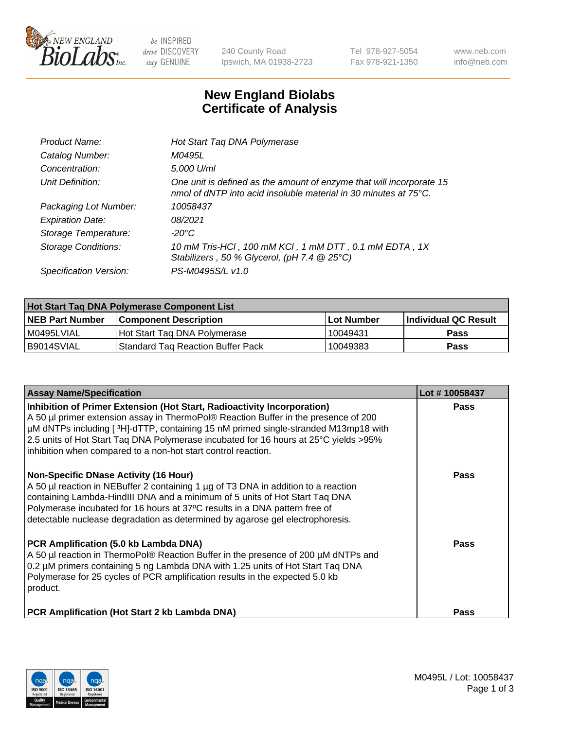

 $be$  INSPIRED drive DISCOVERY stay GENUINE

240 County Road Ipswich, MA 01938-2723 Tel 978-927-5054 Fax 978-921-1350 www.neb.com info@neb.com

## **New England Biolabs Certificate of Analysis**

| Product Name:              | Hot Start Taq DNA Polymerase                                                                                                                       |
|----------------------------|----------------------------------------------------------------------------------------------------------------------------------------------------|
| Catalog Number:            | M0495L                                                                                                                                             |
| Concentration:             | 5,000 U/ml                                                                                                                                         |
| Unit Definition:           | One unit is defined as the amount of enzyme that will incorporate 15<br>nmol of dNTP into acid insoluble material in 30 minutes at $75^{\circ}$ C. |
| Packaging Lot Number:      | 10058437                                                                                                                                           |
| <b>Expiration Date:</b>    | 08/2021                                                                                                                                            |
| Storage Temperature:       | -20°C                                                                                                                                              |
| <b>Storage Conditions:</b> | 10 mM Tris-HCl, 100 mM KCl, 1 mM DTT, 0.1 mM EDTA, 1X<br>Stabilizers, 50 % Glycerol, (pH 7.4 @ 25°C)                                               |
| Specification Version:     | PS-M0495S/L v1.0                                                                                                                                   |

| Hot Start Tag DNA Polymerase Component List |                                          |                   |                      |  |  |
|---------------------------------------------|------------------------------------------|-------------------|----------------------|--|--|
| <b>NEB Part Number</b>                      | <b>Component Description</b>             | <b>Lot Number</b> | Individual QC Result |  |  |
| I M0495LVIAL                                | Hot Start Tag DNA Polymerase             | 10049431          | <b>Pass</b>          |  |  |
| B9014SVIAL                                  | <b>Standard Tag Reaction Buffer Pack</b> | 10049383          | Pass                 |  |  |

| <b>Assay Name/Specification</b>                                                                                                                                                                                                                                                                                                                                                                               | Lot #10058437 |
|---------------------------------------------------------------------------------------------------------------------------------------------------------------------------------------------------------------------------------------------------------------------------------------------------------------------------------------------------------------------------------------------------------------|---------------|
| Inhibition of Primer Extension (Hot Start, Radioactivity Incorporation)<br>A 50 µl primer extension assay in ThermoPol® Reaction Buffer in the presence of 200<br>µM dNTPs including [3H]-dTTP, containing 15 nM primed single-stranded M13mp18 with<br>2.5 units of Hot Start Taq DNA Polymerase incubated for 16 hours at 25°C yields >95%<br>inhibition when compared to a non-hot start control reaction. | <b>Pass</b>   |
| <b>Non-Specific DNase Activity (16 Hour)</b><br>A 50 µl reaction in NEBuffer 2 containing 1 µg of T3 DNA in addition to a reaction<br>containing Lambda-HindIII DNA and a minimum of 5 units of Hot Start Taq DNA<br>Polymerase incubated for 16 hours at 37°C results in a DNA pattern free of<br>detectable nuclease degradation as determined by agarose gel electrophoresis.                              | Pass          |
| PCR Amplification (5.0 kb Lambda DNA)<br>A 50 µl reaction in ThermoPol® Reaction Buffer in the presence of 200 µM dNTPs and<br>0.2 µM primers containing 5 ng Lambda DNA with 1.25 units of Hot Start Taq DNA<br>Polymerase for 25 cycles of PCR amplification results in the expected 5.0 kb<br>product.                                                                                                     | Pass          |
| <b>PCR Amplification (Hot Start 2 kb Lambda DNA)</b>                                                                                                                                                                                                                                                                                                                                                          | Pass          |

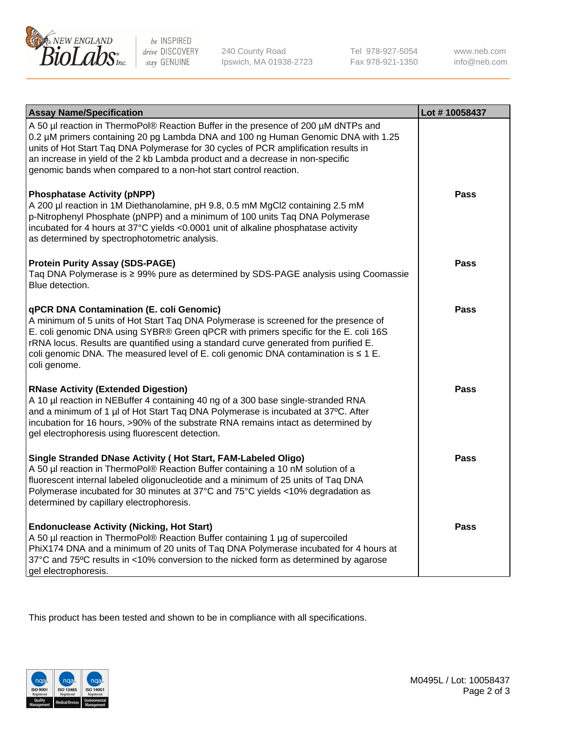

 $be$  INSPIRED drive DISCOVERY stay GENUINE

240 County Road Ipswich, MA 01938-2723 Tel 978-927-5054 Fax 978-921-1350 www.neb.com info@neb.com

| <b>Assay Name/Specification</b>                                                                                                                                                                                                                                                                                                                                                                                              | Lot #10058437 |
|------------------------------------------------------------------------------------------------------------------------------------------------------------------------------------------------------------------------------------------------------------------------------------------------------------------------------------------------------------------------------------------------------------------------------|---------------|
| A 50 µl reaction in ThermoPol® Reaction Buffer in the presence of 200 µM dNTPs and<br>0.2 µM primers containing 20 pg Lambda DNA and 100 ng Human Genomic DNA with 1.25<br>units of Hot Start Taq DNA Polymerase for 30 cycles of PCR amplification results in<br>an increase in yield of the 2 kb Lambda product and a decrease in non-specific<br>genomic bands when compared to a non-hot start control reaction.         |               |
| <b>Phosphatase Activity (pNPP)</b><br>A 200 µl reaction in 1M Diethanolamine, pH 9.8, 0.5 mM MgCl2 containing 2.5 mM<br>p-Nitrophenyl Phosphate (pNPP) and a minimum of 100 units Taq DNA Polymerase<br>incubated for 4 hours at 37°C yields <0.0001 unit of alkaline phosphatase activity<br>as determined by spectrophotometric analysis.                                                                                  | Pass          |
| <b>Protein Purity Assay (SDS-PAGE)</b><br>Taq DNA Polymerase is ≥ 99% pure as determined by SDS-PAGE analysis using Coomassie<br>Blue detection.                                                                                                                                                                                                                                                                             | Pass          |
| qPCR DNA Contamination (E. coli Genomic)<br>A minimum of 5 units of Hot Start Taq DNA Polymerase is screened for the presence of<br>E. coli genomic DNA using SYBR® Green qPCR with primers specific for the E. coli 16S<br>rRNA locus. Results are quantified using a standard curve generated from purified E.<br>coli genomic DNA. The measured level of E. coli genomic DNA contamination is $\leq 1$ E.<br>coli genome. | <b>Pass</b>   |
| <b>RNase Activity (Extended Digestion)</b><br>A 10 µl reaction in NEBuffer 4 containing 40 ng of a 300 base single-stranded RNA<br>and a minimum of 1 µl of Hot Start Taq DNA Polymerase is incubated at 37°C. After<br>incubation for 16 hours, >90% of the substrate RNA remains intact as determined by<br>gel electrophoresis using fluorescent detection.                                                               | <b>Pass</b>   |
| Single Stranded DNase Activity (Hot Start, FAM-Labeled Oligo)<br>A 50 µl reaction in ThermoPol® Reaction Buffer containing a 10 nM solution of a<br>fluorescent internal labeled oligonucleotide and a minimum of 25 units of Taq DNA<br>Polymerase incubated for 30 minutes at 37°C and 75°C yields <10% degradation as<br>determined by capillary electrophoresis.                                                         | <b>Pass</b>   |
| <b>Endonuclease Activity (Nicking, Hot Start)</b><br>A 50 µl reaction in ThermoPol® Reaction Buffer containing 1 µg of supercoiled<br>PhiX174 DNA and a minimum of 20 units of Taq DNA Polymerase incubated for 4 hours at<br>37°C and 75°C results in <10% conversion to the nicked form as determined by agarose<br>gel electrophoresis.                                                                                   | Pass          |

This product has been tested and shown to be in compliance with all specifications.